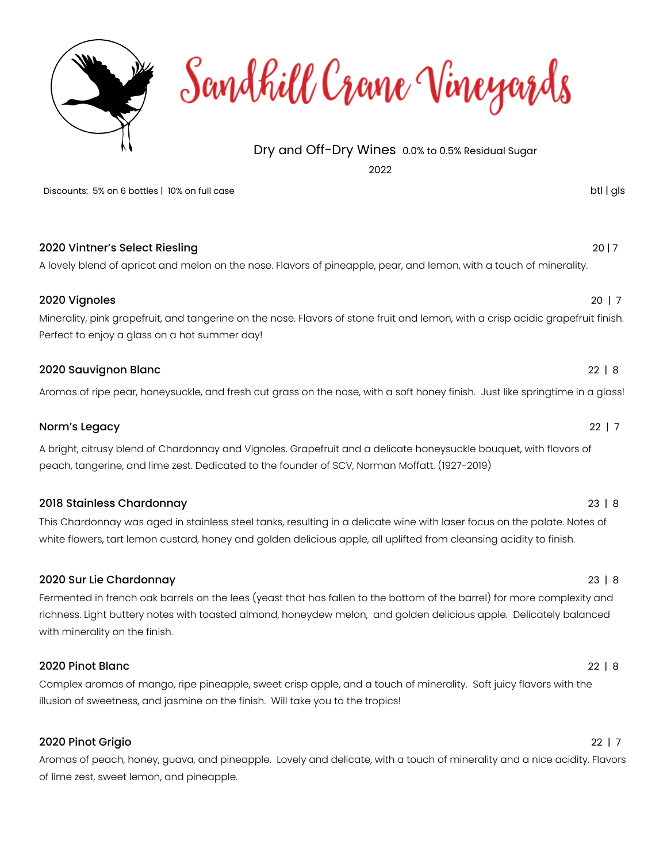

Sandhill Crane Vineyards

# Dry and Off-Dry Wines 0.0% to 0.5% Residual Sugar

2022

Discounts: 5% on 6 bottles | 10% on full case btl | gls btl | gls btl | gls btl | gls btl | gls btl | gls btl | gls btl | gls btl | gls btl | gls btl | gls btl | gls btl | gls btl | gls btl | gls btl | gls btl | gls btl |

| 2020 Vintner's Select Riesling<br>A lovely blend of apricot and melon on the nose. Flavors of pineapple, pear, and lemon, with a touch of minerality.                                              | 2017        |
|----------------------------------------------------------------------------------------------------------------------------------------------------------------------------------------------------|-------------|
| 2020 Vignoles<br>Minerality, pink grapefruit, and tangerine on the nose. Flavors of stone fruit and lemon, with a crisp acidic grapefruit finish.<br>Perfect to enjoy a glass on a hot summer day! | $20 \mid 7$ |
| 2020 Sauvignon Blanc<br>Aromas of ripe pear, honeysuckle, and fresh cut grass on the nose, with a soft honey finish. Just like springtime in a glass!                                              | $22 \mid 8$ |

Norm's Legacy 22 | 7

A bright, citrusy blend of Chardonnay and Vignoles. Grapefruit and a delicate honeysuckle bouquet, with flavors of peach, tangerine, and lime zest. Dedicated to the founder of SCV, Norman Moffatt. (1927-2019)

## 2018 Stainless Chardonnay 23 | 8

This Chardonnay was aged in stainless steel tanks, resulting in a delicate wine with laser focus on the palate. Notes of white flowers, tart lemon custard, honey and golden delicious apple, all uplifted from cleansing acidity to finish.

## 2020 Sur Lie Chardonnay 23 | 8

Fermented in french oak barrels on the lees (yeast that has fallen to the bottom of the barrel) for more complexity and richness. Light buttery notes with toasted almond, honeydew melon, and golden delicious apple. Delicately balanced with minerality on the finish.

## 2020 Pinot Blanc 22 | 8

Complex aromas of mango, ripe pineapple, sweet crisp apple, and a touch of minerality. Soft juicy flavors with the illusion of sweetness, and jasmine on the finish. Will take you to the tropics!

## 2020 Pinot Grigio 22 | 7

Aromas of peach, honey, guava, and pineapple. Lovely and delicate, with a touch of minerality and a nice acidity. Flavors of lime zest, sweet lemon, and pineapple.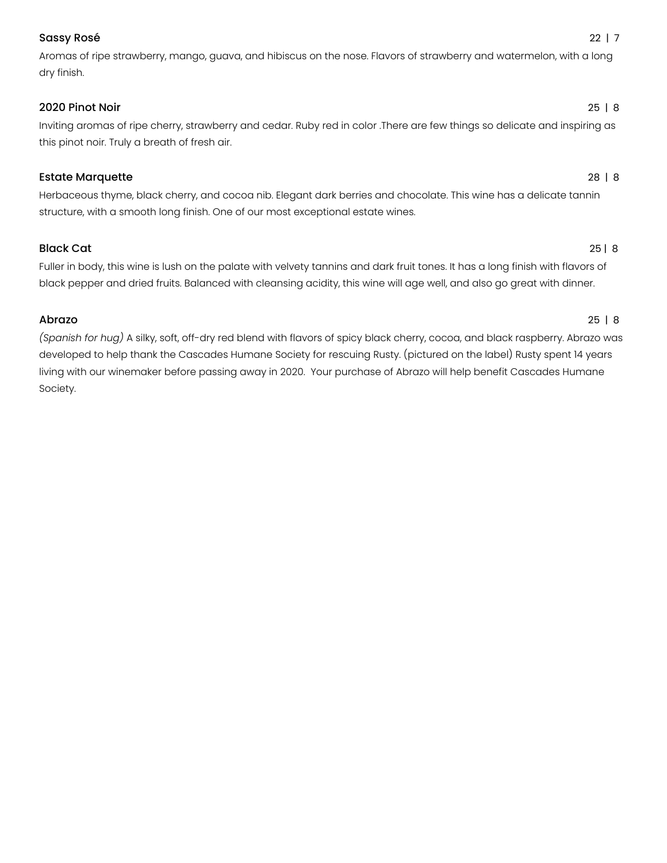## Sassy Rosé 22 | 7

Aromas of ripe strawberry, mango, guava, and hibiscus on the nose. Flavors of strawberry and watermelon, with a long dry finish.

## 2020 Pinot Noir 25 | 8

Inviting aromas of ripe cherry, strawberry and cedar. Ruby red in color .There are few things so delicate and inspiring as this pinot noir. Truly a breath of fresh air.

## Estate Marquette 28 | 8

Herbaceous thyme, black cherry, and cocoa nib. Elegant dark berries and chocolate. This wine has a delicate tannin structure, with a smooth long finish. One of our most exceptional estate wines.

## Black Cat 25 | 8

Fuller in body, this wine is lush on the palate with velvety tannins and dark fruit tones. It has a long finish with flavors of black pepper and dried fruits. Balanced with cleansing acidity, this wine will age well, and also go great with dinner.

## Abrazo 25 | 8

*(Spanish for hug)* A silky, soft, off-dry red blend with flavors of spicy black cherry, cocoa, and black raspberry. Abrazo was developed to help thank the Cascades Humane Society for rescuing Rusty. (pictured on the label) Rusty spent 14 years living with our winemaker before passing away in 2020. Your purchase of Abrazo will help benefit Cascades Humane Society.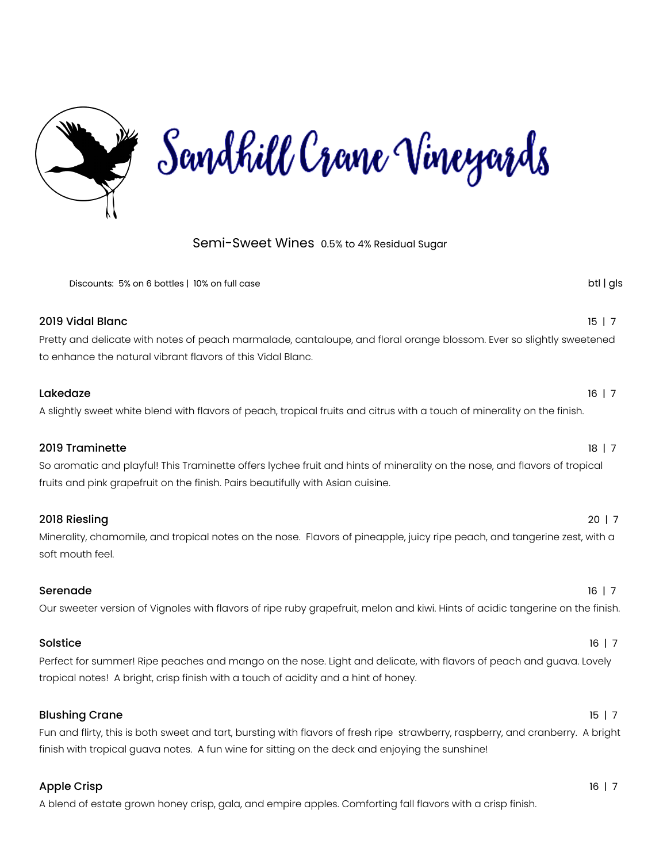

## Semi-Sweet Wines 0.5% to 4% Residual Sugar

| Discounts: 5% on 6 bottles   10% on full case                                                                                                                                                                                   | btl   gls   |
|---------------------------------------------------------------------------------------------------------------------------------------------------------------------------------------------------------------------------------|-------------|
| 2019 Vidal Blanc<br>Pretty and delicate with notes of peach marmalade, cantaloupe, and floral orange blossom. Ever so slightly sweetened<br>to enhance the natural vibrant flavors of this Vidal Blanc.                         | $15 \mid 7$ |
| Lakedaze<br>A slightly sweet white blend with flavors of peach, tropical fruits and citrus with a touch of minerality on the finish.                                                                                            | $16$   7    |
| 2019 Traminette<br>So aromatic and playful! This Traminette offers lychee fruit and hints of minerality on the nose, and flavors of tropical<br>fruits and pink grapefruit on the finish. Pairs beautifully with Asian cuisine. | $18$   7    |
| 2018 Riesling<br>Minerality, chamomile, and tropical notes on the nose. Flavors of pineapple, juicy ripe peach, and tangerine zest, with a<br>soft mouth feel.                                                                  | $20 \mid 7$ |
| Serenade<br>Our sweeter version of Vignoles with flavors of ripe ruby grapefruit, melon and kiwi. Hints of acidic tangerine on the finish.                                                                                      | $16$   7    |
| Solstice<br>Perfect for summer! Ripe peaches and mango on the nose. Light and delicate, with flavors of peach and guava. Lovely<br>tropical notes! A bright, crisp finish with a touch of acidity and a hint of honey.          | $16 \mid 7$ |

Fun and flirty, this is both sweet and tart, bursting with flavors of fresh ripe strawberry, raspberry, and cranberry. A bright finish with tropical guava notes. A fun wine for sitting on the deck and enjoying the sunshine!

Blushing Crane 15 | 7

### Apple Crisp 16 | 7

A blend of estate grown honey crisp, gala, and empire apples. Comforting fall flavors with a crisp finish.